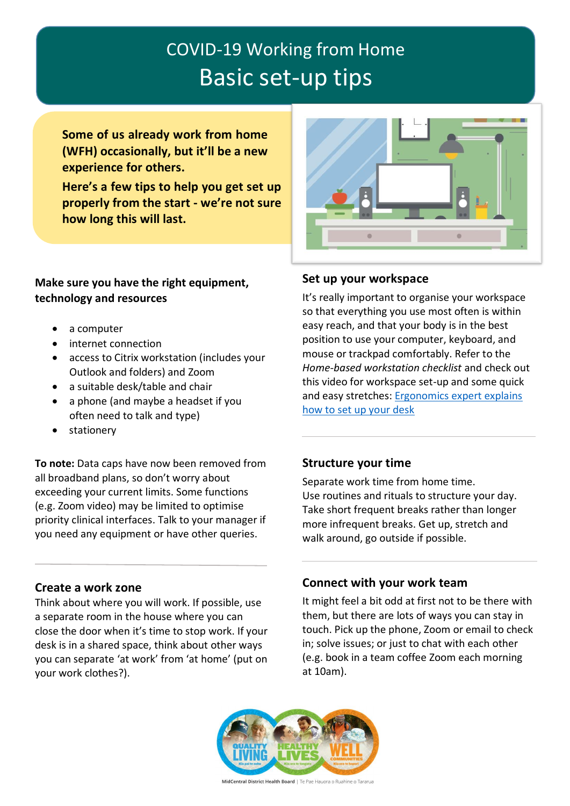# COVID-19 Working from Home Basic set-up tips

**Some of us already work from home (WFH) occasionally, but it'll be a new experience for others.**

**Here's a few tips to help you get set up properly from the start - we're not sure how long this will last.**

### **Make sure you have the right equipment, technology and resources**

- a computer
- internet connection
- access to Citrix workstation (includes your Outlook and folders) and Zoom
- a suitable desk/table and chair
- a phone (and maybe a headset if you often need to talk and type)
- stationery

**To note:** Data caps have now been removed from all broadband plans, so don't worry about exceeding your current limits. Some functions (e.g. Zoom video) may be limited to optimise priority clinical interfaces. Talk to your manager if you need any equipment or have other queries.

#### **Create a work zone**

Think about where you will work. If possible, use a separate room in the house where you can close the door when it's time to stop work. If your desk is in a shared space, think about other ways you can separate 'at work' from 'at home' (put on your work clothes?).



#### **Set up your workspace**

It's really important to organise your workspace so that everything you use most often is within easy reach, and that your body is in the best position to use your computer, keyboard, and mouse or trackpad comfortably. Refer to the *Home-based workstation checklist* and check out this video for workspace set-up and some quick and easy stretches: Ergonomics expert explains how to set up your desk

### **Structure your time**

Separate work time from home time. Use routines and rituals to structure your day. Take short frequent breaks rather than longer more infrequent breaks. Get up, stretch and walk around, go outside if possible.

### **Connect with your work team**

It might feel a bit odd at first not to be there with them, but there are lots of ways you can stay in touch. Pick up the phone, Zoom or email to check in; solve issues; or just to chat with each other (e.g. book in a team coffee Zoom each morning at 10am).